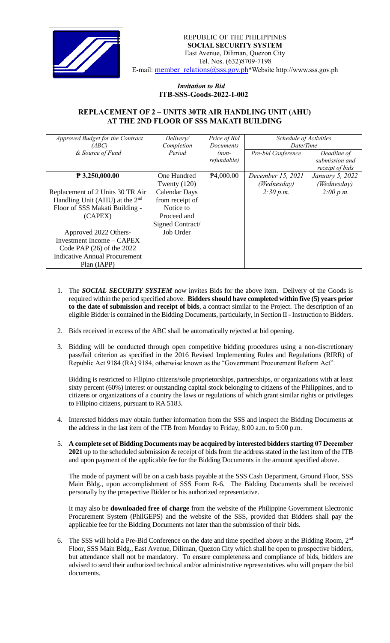

## *Invitation to Bid*  **ITB-SSS-Goods-2022-I-002**

## **REPLACEMENT OF 2 – UNITS 30TR AIR HANDLING UNIT (AHU) AT THE 2ND FLOOR OF SSS MAKATI BUILDING**

| Approved Budget for the Contract | Delivery/            | Price of Bid           | Schedule of Activities |                 |
|----------------------------------|----------------------|------------------------|------------------------|-----------------|
| (ABC)                            | Completion           | <i>Documents</i>       | Date/Time              |                 |
| & Source of Fund                 | Period               | (non-                  | Pre-bid Conference     | Deadline of     |
|                                  |                      | refundable)            |                        | submission and  |
|                                  |                      |                        |                        | receipt of bids |
| $P$ 3,250,000.00                 | One Hundred          | P <sub>4</sub> ,000.00 | December 15, 2021      | January 5, 2022 |
|                                  | Twenty $(120)$       |                        | (Wednesday)            | (Wednesday)     |
| Replacement of 2 Units 30 TR Air | <b>Calendar Days</b> |                        | 2:30 p.m.              | 2:00 p.m.       |
| Handling Unit (AHU) at the $2nd$ | from receipt of      |                        |                        |                 |
| Floor of SSS Makati Building -   | Notice to            |                        |                        |                 |
| (CAPEX)                          | Proceed and          |                        |                        |                 |
|                                  | Signed Contract/     |                        |                        |                 |
| Approved 2022 Others-            | Job Order            |                        |                        |                 |
| Investment Income $-$ CAPEX      |                      |                        |                        |                 |
| Code PAP $(26)$ of the 2022      |                      |                        |                        |                 |
| Indicative Annual Procurement    |                      |                        |                        |                 |
| Plan (IAPP)                      |                      |                        |                        |                 |

- 1. The *SOCIAL SECURITY SYSTEM* now invites Bids for the above item. Delivery of the Goods is required within the period specified above. **Bidders should have completed within five (5) years prior to the date of submission and receipt of bids**, a contract similar to the Project. The description of an eligible Bidder is contained in the Bidding Documents, particularly, in Section II - Instruction to Bidders.
- 2. Bids received in excess of the ABC shall be automatically rejected at bid opening.
- 3. Bidding will be conducted through open competitive bidding procedures using a non-discretionary pass/fail criterion as specified in the 2016 Revised Implementing Rules and Regulations (RIRR) of Republic Act 9184 (RA) 9184, otherwise known as the "Government Procurement Reform Act".

Bidding is restricted to Filipino citizens/sole proprietorships, partnerships, or organizations with at least sixty percent (60%) interest or outstanding capital stock belonging to citizens of the Philippines, and to citizens or organizations of a country the laws or regulations of which grant similar rights or privileges to Filipino citizens, pursuant to RA 5183.

- 4. Interested bidders may obtain further information from the SSS and inspect the Bidding Documents at the address in the last item of the ITB from Monday to Friday, 8:00 a.m. to 5:00 p.m.
- 5. **A complete set of Bidding Documents may be acquired by interested bidders starting 07 December 2021** up to the scheduled submission & receipt of bids from the address stated in the last item of the ITB and upon payment of the applicable fee for the Bidding Documents in the amount specified above.

The mode of payment will be on a cash basis payable at the SSS Cash Department, Ground Floor, SSS Main Bldg., upon accomplishment of SSS Form R-6. The Bidding Documents shall be received personally by the prospective Bidder or his authorized representative.

It may also be **downloaded free of charge** from the website of the Philippine Government Electronic Procurement System (PhilGEPS) and the website of the SSS*,* provided that Bidders shall pay the applicable fee for the Bidding Documents not later than the submission of their bids.

6. The SSS will hold a Pre-Bid Conference on the date and time specified above at the Bidding Room, 2<sup>nd</sup> Floor, SSS Main Bldg., East Avenue, Diliman, Quezon City which shall be open to prospective bidders, but attendance shall not be mandatory. To ensure completeness and compliance of bids, bidders are advised to send their authorized technical and/or administrative representatives who will prepare the bid documents.